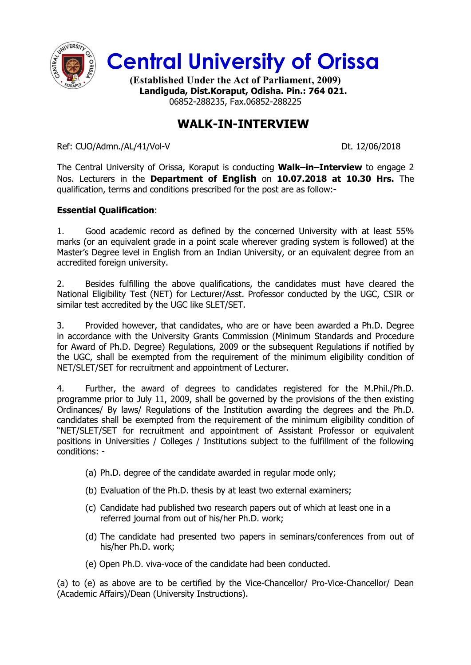

**Central University of Orissa**

**(Established Under the Act of Parliament, 2009) Landiguda, Dist.Koraput, Odisha. Pin.: 764 021.** 06852-288235, Fax.06852-288225

## **WALK-IN-INTERVIEW**

Ref: CUO/Admn./AL/41/Vol-V Dt. 12/06/2018

The Central University of Orissa, Koraput is conducting **Walk–in–Interview** to engage 2 Nos. Lecturers in the **Department of English** on **10.07.2018 at 10.30 Hrs.** The qualification, terms and conditions prescribed for the post are as follow:-

## **Essential Qualification**:

1. Good academic record as defined by the concerned University with at least 55% marks (or an equivalent grade in a point scale wherever grading system is followed) at the Master's Degree level in English from an Indian University, or an equivalent degree from an accredited foreign university.

2. Besides fulfilling the above qualifications, the candidates must have cleared the National Eligibility Test (NET) for Lecturer/Asst. Professor conducted by the UGC, CSIR or similar test accredited by the UGC like SLET/SET.

3. Provided however, that candidates, who are or have been awarded a Ph.D. Degree in accordance with the University Grants Commission (Minimum Standards and Procedure for Award of Ph.D. Degree) Regulations, 2009 or the subsequent Regulations if notified by the UGC, shall be exempted from the requirement of the minimum eligibility condition of NET/SLET/SET for recruitment and appointment of Lecturer.

4. Further, the award of degrees to candidates registered for the M.Phil./Ph.D. programme prior to July 11, 2009, shall be governed by the provisions of the then existing Ordinances/ By laws/ Regulations of the Institution awarding the degrees and the Ph.D. candidates shall be exempted from the requirement of the minimum eligibility condition of "NET/SLET/SET for recruitment and appointment of Assistant Professor or equivalent positions in Universities / Colleges / Institutions subject to the fulfillment of the following conditions: -

- (a) Ph.D. degree of the candidate awarded in regular mode only;
- (b) Evaluation of the Ph.D. thesis by at least two external examiners;
- (c) Candidate had published two research papers out of which at least one in a referred journal from out of his/her Ph.D. work;
- (d) The candidate had presented two papers in seminars/conferences from out of his/her Ph.D. work;
- (e) Open Ph.D. viva-voce of the candidate had been conducted.

(a) to (e) as above are to be certified by the Vice-Chancellor/ Pro-Vice-Chancellor/ Dean (Academic Affairs)/Dean (University Instructions).